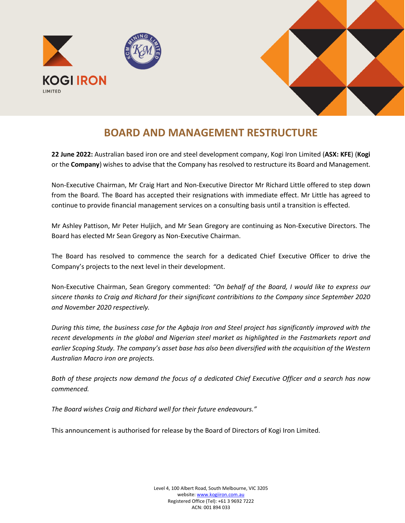



## **BOARD AND MANAGEMENT RESTRUCTURE**

**22 June 2022:** Australian based iron ore and steel development company, Kogi Iron Limited (**ASX: KFE**) (**Kogi** or the **Company**) wishes to advise that the Company has resolved to restructure its Board and Management.

Non-Executive Chairman, Mr Craig Hart and Non-Executive Director Mr Richard Little offered to step down from the Board. The Board has accepted their resignations with immediate effect. Mr Little has agreed to continue to provide financial management services on a consulting basis until a transition is effected.

Mr Ashley Pattison, Mr Peter Huljich, and Mr Sean Gregory are continuing as Non-Executive Directors. The Board has elected Mr Sean Gregory as Non-Executive Chairman.

The Board has resolved to commence the search for a dedicated Chief Executive Officer to drive the Company's projects to the next level in their development.

Non-Executive Chairman, Sean Gregory commented: *"On behalf of the Board, I would like to express our sincere thanks to Craig and Richard for their significant contribitions to the Company since September 2020 and November 2020 respectively.* 

*During this time, the business case for the Agbaja Iron and Steel project has significantly improved with the recent developments in the global and Nigerian steel market as highlighted in the Fastmarkets report and earlier Scoping Study. The company's asset base has also been diversified with the acquisition of the Western Australian Macro iron ore projects.* 

*Both of these projects now demand the focus of a dedicated Chief Executive Officer and a search has now commenced.* 

*The Board wishes Craig and Richard well for their future endeavours."*

This announcement is authorised for release by the Board of Directors of Kogi Iron Limited.